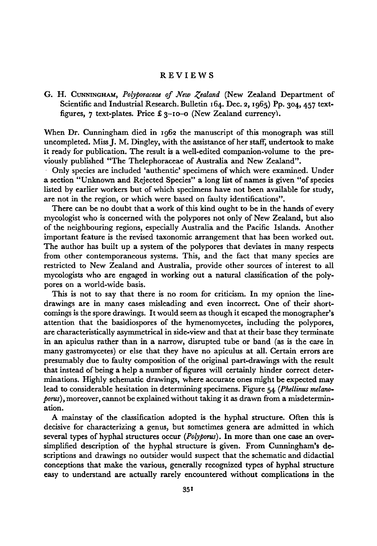## Reviews

G. H. CUNNINGHAM, Polyporaceae of New Zealand (New Zealand Department of Scientific and Industrial Research. Bulletin 164. Dec. 2, 1965) Pp. 304, 457 textfigures, 7 text-plates. Price £  $3-10-0$  (New Zealand currency).

When Dr. Cunningham died in <sup>1962</sup> the manuscript of this monograph was still uncompleted. Miss J. M. Dingley, with the assistance of her staff, undertook to make it ready for publication. The result is a well-edited companion-volume to the previously published "The Thelephoraceae of Australia and New Zealand".

Only species are included 'authentic' specimens ofwhich were examined. Under a section "Unknown and Rejected Species" a long list of names is given "of species listed by earlier workers but of which specimens have not been available for study, are not in the region, or which were based on faulty identifications".

There can be no doubt that a work of this kind ought to be in the hands of every mycologist who is concerned with the polypores not only of New Zealand, but also of the neighbouring regions, especially Australia and the Pacific Islands. Another important feature is the revised taxonomic arrangement that has been worked out. The author has built up <sup>a</sup> system of the polypores that deviates in many respects from other contemporaneous systems. This, and the fact that many species are restricted to New Zealand and Australia, provide other sources of interest to all mycologists who are engaged in working out a natural classification of the polypores on aworld-wide basis.

This is not to say that there is no room for criticism. In my opnion the linedrawings are in many cases misleading and even incorrect. One of their shortcomings is the spore drawings. It would seem as though it escaped the monographer's attention that the basidiospores of the hymenomycetes, including the polypores, are characteristically asymmetrical in side-view and that at their base they terminate in an apiculus rather than in a narrow, disrupted tube or band (as is the case in many gastromycetes) or else that they have no apiculus at all. Certain errors are presumably due to faulty composition of the original part-drawings with the result that instead of being a help a number of figures will certainly hinder correct determinations. Highly schematic drawings, where accurate ones might be expected may lead to considerable hesitation in determining specimens. Figure  $54$  (Phellinus melano $porus$ ), moreover, cannot be explained without taking it as drawn from a misdetermination.

A mainstay of the classification adopted is the hyphal structure. Often this is decisive for characterizing a genus, but sometimes genera are admitted in which several types of hyphal structures occur (Polyporus). In more than one case an oversimplified description of the hyphal structure is given. From Cunningham's descriptions and drawings no outsider would suspect that the schematic and didactial conceptions that make the various, generally recognized types of hyphal structure easy to understand are actually rarely encountered without complications in the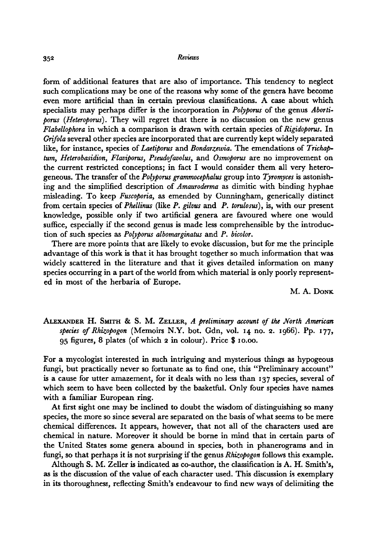form of additional features that are also of importance. This tendency to neglect such complications may be one of the reasons why some of the genera have become even more artificial than in certain previous classifications. A case about which specialists may perhaps differ is the incorporation in Polyporus of the genus Abortiporus (Heteroporus). They will regret that there is no discussion on the new genus  $F$ labellophora in which a comparison is drawn with certain species of Rigidoporus. In Grifola several other species are incorporated that are currently kept widely separated like, for instance, species of Laetiporus and Bondarzewia. The emendations of Trichaptum, Heterobasidion, Flaviporus, Pseudofavolus, and Osmoporus are no improvement on the current restricted conceptions; in fact I would consider them all very heterogeneous. The transfer of the  $Polyporus$  grammocephalus group into Tyromyces is astonishing and the simplified description of Amauroderma as dimitic with binding hyphae misleading. To keep Fuscoporia, as emended by Cunningham, generically distinct from certain species of Phellinus (like P. gilvus and P. torulosus), is, with our present knowledge, possible only if two artificial genera are favoured where one would suffice, especially if the second genus is made less comprehensible by the introduction of such species as Polyporus albomarginatus and P. bicolor.

There are more points that are likely to evoke discussion, but for me the principle advantage of this work is that it has brought together so much information that was widely scattered in the literature and that it gives detailed information on many species occurring in a part of the world from which material is only poorly represent ed in most of the herbaria of Europe.

M. A. DONK

ALEXANDER H. SMITH & S. M. ZELLER, <sup>A</sup> preliminary account of the North American species of Rhizopogon (Memoirs N.Y. bot. Gdn, vol. <sup>14</sup> no. 2. 1966). Pp. 177, <sup>95</sup> figures, <sup>8</sup> plates (of which <sup>2</sup> in colour). Price \$ 10.00.

For a mycologist interested in such intriguing and mysterious things as hypogeous fungi, but practically never so fortunate as to find one, this "Preliminary account" is <sup>a</sup> cause for utter amazement, for it deals with no less than <sup>137</sup> species, several of which seem to have been collected by the basketful. Only four species have names with a familiar European ring.

At first sight one may be inclined to doubt the wisdom of distinguishing so many species, the more so since several are separated on the basis ofwhat seems to be mere chemical differences. It appears, however, that not all of the characters used are chemical in nature. Moreover it should be borne in mind that in certain parts of the United States some genera abound in species, both in phanerograms and in fungi, so that perhaps it is not surprising if the genus Rhizopogon follows this example.

Although S. M. Zeller is indicated as co-author, the classification is A. H. Smith's, as is the discussion of the value of each character used. This discussion is exemplary in its thoroughness, reflecting Smith's endeavour to find new ways of delimiting the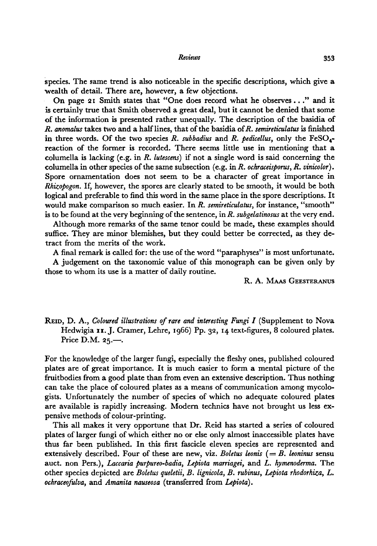## Reviews 353

species. The same trend is also noticeable in the specific descriptions, which give a wealth of detail. There are, however, a few objections.

On page 21 Smith states that "One does record what he observes . . ." and it is certainly true that Smith observed a great deal, but it cannot be denied that some of the information is presented rather unequally. The description of the basidia of  $R.$  anomalus takes two and a half lines, that of the basidia of  $R.$  semireticulatus is finished in three words. Of the two species R. subbadius and R. pedicellus, only the  $\text{FeSO}_4$ . reaction of the former is recorded. There seems little use in mentioning that a columella is lacking (e.g. in R. lutescens) if not <sup>a</sup> single word is said concerning the columella in other species of the same subsection (e.g. in R. ochraceisporus, R. vinicolor). Spore ornamentation does not seem to be a character of great importance in Rhizopogon. If, however, the spores are clearly stated to be smooth, it would be both logical and preferable to find this word in the same place in the spore descriptions. It would make comparison so much easier. In R. semireticulatus, for instance, "smooth" is to be found at the very beginning of the sentence, in  $R$ . subgelatinosus at the very end.

Although more remarks of the same tenor could be made, these examples should suffice. They are minor blemishes, but they could better be corrected, as they detract from the merits of the work.

A final remark is called for: the use of the word "paraphyses" is most unfortunate.

A judgement on the taxonomic value of this monograph can be given only by those to whom its use is <sup>a</sup> matter of daily routine.

R. A. MAAS GEESTERANUS

REID, D. A., Coloured illustrations of rare and interesting Fungi I (Supplement to Nova Hedwigia 11. J. Cramer, Lehre, 1966) Pp. 32, 14 text-figures, 8 coloured plates. Price D.M. 25.—.

For the knowledge of the larger fungi, especially the fleshy ones, published coloured plates are of great importance. It is much easier to form <sup>a</sup> mental picture of the fruitbodies from a good plate than fromeven an extensive description. Thus nothing can take the place of coloured plates as a means of communication among mycologists. Unfortunately the number of species of which no adequate coloured plates are available is rapidly increasing. Modern technics have not brought us less expensive methods of colour-printing.

This all makes it very opportune that Dr. Reid has started a series of coloured plates of larger fungi ofwhich either no or else only almost inaccessible plates have thus far been published. In this first fascicle eleven species are represented and extensively described. Four of these are new, viz. Boletus leonis  $(=B.$  leoninus sensu auct. non Pers.), Laccaria purpureo-badia, Lepiota marriagei, and L. hymenoderma. The other species depicted are Boletus queletii, B. lignicola, B. rubinus, Lepiota rhodorhiza, L. ochraceofulva, and Amanita nauseosa (transferred from Lepiota).